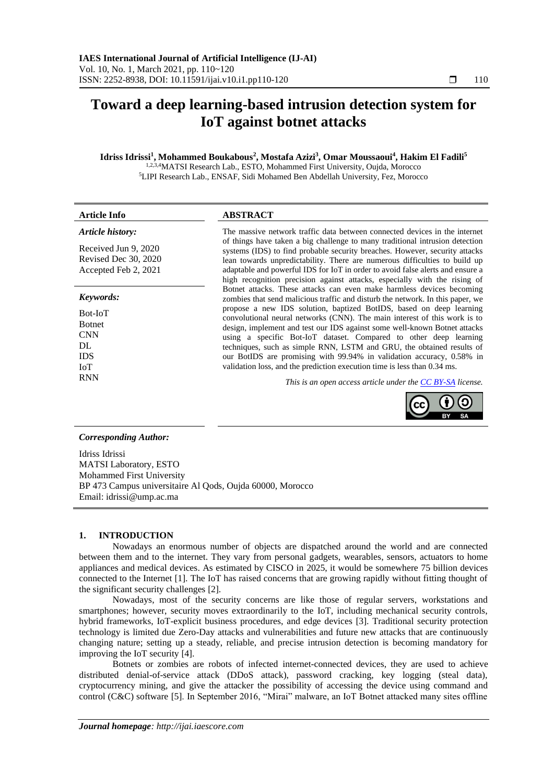# **Toward a deep learning-based intrusion detection system for IoT against botnet attacks**

## **Idriss Idrissi<sup>1</sup> , Mohammed Boukabous<sup>2</sup> , Mostafa Azizi<sup>3</sup> , Omar Moussaoui<sup>4</sup> , Hakim El Fadili<sup>5</sup>**

1,2,3,4MATSI Research Lab., ESTO, Mohammed First University, Oujda, Morocco <sup>5</sup>LIPI Research Lab., ENSAF, Sidi Mohamed Ben Abdellah University, Fez, Morocco

#### **Article Info ABSTRACT** *Article history:* Received Jun 9, 2020 Revised Dec 30, 2020 Accepted Feb 2, 2021 The massive network traffic data between connected devices in the internet of things have taken a big challenge to many traditional intrusion detection systems (IDS) to find probable security breaches. However, security attacks lean towards unpredictability. There are numerous difficulties to build up adaptable and powerful IDS for IoT in order to avoid false alerts and ensure a high recognition precision against attacks, especially with the rising of Botnet attacks. These attacks can even make harmless devices becoming zombies that send malicious traffic and disturb the network. In this paper, we *Keywords:*

Bot-IoT Botnet **CNN**  $DI$ . IDS IoT

propose a new IDS solution, baptized BotIDS, based on deep learning convolutional neural networks (CNN). The main interest of this work is to design, implement and test our IDS against some well-known Botnet attacks using a specific Bot-IoT dataset. Compared to other deep learning techniques, such as simple RNN, LSTM and GRU, the obtained results of our BotIDS are promising with 99.94% in validation accuracy, 0.58% in validation loss, and the prediction execution time is less than 0.34 ms.

RNN *This is an open access article under the [CC BY-SA](https://creativecommons.org/licenses/by-sa/4.0/) license.*



# *Corresponding Author:*

Idriss Idrissi MATSI Laboratory, ESTO Mohammed First University BP 473 Campus universitaire Al Qods, Oujda 60000, Morocco Email: idrissi@ump.ac.ma

# **1. INTRODUCTION**

Nowadays an enormous number of objects are dispatched around the world and are connected between them and to the internet. They vary from personal gadgets, wearables, sensors, actuators to home appliances and medical devices. As estimated by CISCO in 2025, it would be somewhere 75 billion devices connected to the Internet [1]. The IoT has raised concerns that are growing rapidly without fitting thought of the significant security challenges [2].

Nowadays, most of the security concerns are like those of regular servers, workstations and smartphones; however, security moves extraordinarily to the IoT, including mechanical security controls, hybrid frameworks, IoT-explicit business procedures, and edge devices [3]. Traditional security protection technology is limited due Zero-Day attacks and vulnerabilities and future new attacks that are continuously changing nature; setting up a steady, reliable, and precise intrusion detection is becoming mandatory for improving the IoT security [4].

Botnets or zombies are robots of infected internet-connected devices, they are used to achieve distributed denial-of-service attack (DDoS attack), password cracking, key logging (steal data), cryptocurrency mining, and give the attacker the possibility of accessing the device using command and control (C&C) software [5]. In September 2016, "Mirai" malware, an IoT Botnet attacked many sites offline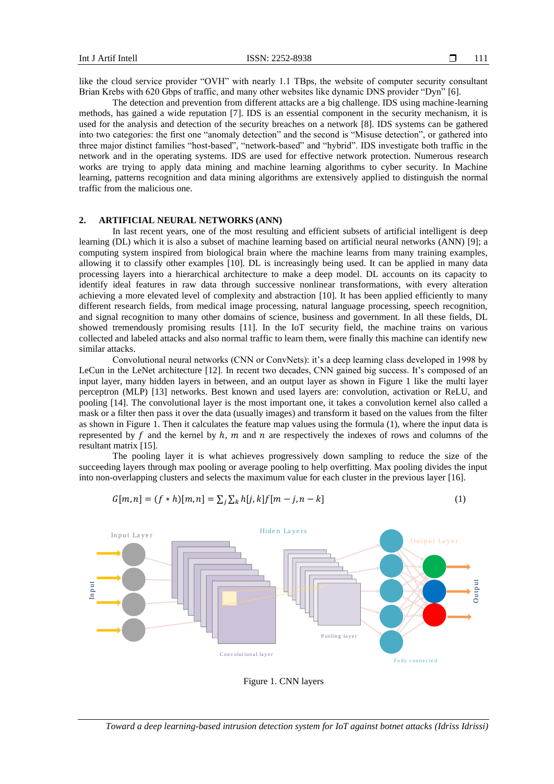like the cloud service provider "OVH" with nearly 1.1 TBps, the website of computer security consultant Brian Krebs with 620 Gbps of traffic, and many other websites like dynamic DNS provider "Dyn" [6].

The detection and prevention from different attacks are a big challenge. IDS using machine-learning methods, has gained a wide reputation [7]. IDS is an essential component in the security mechanism, it is used for the analysis and detection of the security breaches on a network [8]. IDS systems can be gathered into two categories: the first one "anomaly detection" and the second is "Misuse detection", or gathered into three major distinct families "host-based", "network-based" and "hybrid". IDS investigate both traffic in the network and in the operating systems. IDS are used for effective network protection. Numerous research works are trying to apply data mining and machine learning algorithms to cyber security. In Machine learning, patterns recognition and data mining algorithms are extensively applied to distinguish the normal traffic from the malicious one.

### **2. ARTIFICIAL NEURAL NETWORKS (ANN)**

In last recent years, one of the most resulting and efficient subsets of artificial intelligent is deep learning (DL) which it is also a subset of machine learning based on artificial neural networks (ANN) [9]; a computing system inspired from biological brain where the machine learns from many training examples, allowing it to classify other examples [10]. DL is increasingly being used. It can be applied in many data processing layers into a hierarchical architecture to make a deep model. DL accounts on its capacity to identify ideal features in raw data through successive nonlinear transformations, with every alteration achieving a more elevated level of complexity and abstraction [10]. It has been applied efficiently to many different research fields, from medical image processing, natural language processing, speech recognition, and signal recognition to many other domains of science, business and government. In all these fields, DL showed tremendously promising results [11]. In the IoT security field, the machine trains on various collected and labeled attacks and also normal traffic to learn them, were finally this machine can identify new similar attacks.

Convolutional neural networks (CNN or ConvNets): it's a deep learning class developed in 1998 by LeCun in the LeNet architecture [12]. In recent two decades, CNN gained big success. It's composed of an input layer, many hidden layers in between, and an output layer as shown in Figure 1 like the multi layer perceptron (MLP) [13] networks. Best known and used layers are: convolution, activation or ReLU, and pooling [14]. The convolutional layer is the most important one, it takes a convolution kernel also called a mask or a filter then pass it over the data (usually images) and transform it based on the values from the filter as shown in Figure 1. Then it calculates the feature map values using the formula (1), where the input data is represented by  $f$  and the kernel by  $h$ ,  $m$  and  $n$  are respectively the indexes of rows and columns of the resultant matrix [15].

The pooling layer it is what achieves progressively down sampling to reduce the size of the succeeding layers through max pooling or average pooling to help overfitting. Max pooling divides the input into non-overlapping clusters and selects the maximum value for each cluster in the previous layer [16].

$$
G[m,n] = (f * h)[m,n] = \sum_{j} \sum_{k} h[j,k] f[m-j,n-k]
$$
\n(1)



Figure 1. CNN layers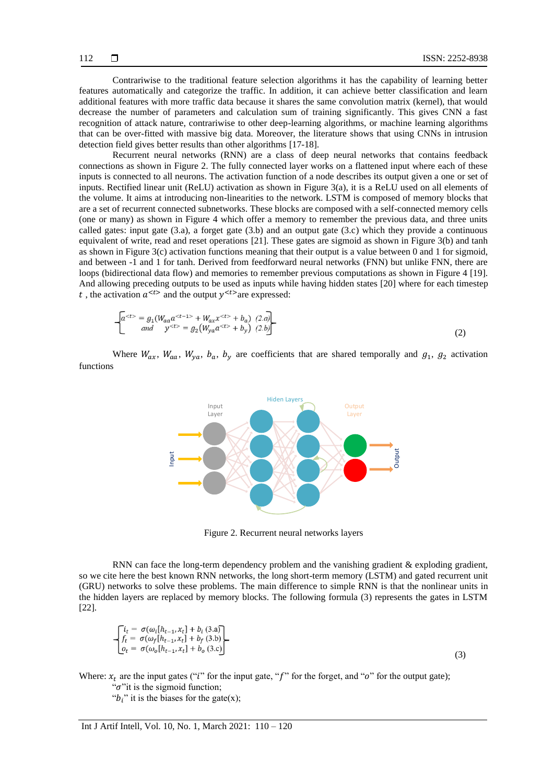Contrariwise to the traditional feature selection algorithms it has the capability of learning better features automatically and categorize the traffic. In addition, it can achieve better classification and learn additional features with more traffic data because it shares the same convolution matrix (kernel), that would decrease the number of parameters and calculation sum of training significantly. This gives CNN a fast recognition of attack nature, contrariwise to other deep-learning algorithms, or machine learning algorithms that can be over-fitted with massive big data. Moreover, the literature shows that using CNNs in intrusion detection field gives better results than other algorithms [17-18].

Recurrent neural networks (RNN) are a class of deep neural networks that contains feedback connections as shown in Figure 2. The fully connected layer works on a flattened input where each of these inputs is connected to all neurons. The activation function of a node describes its output given a one or set of inputs. Rectified linear unit (ReLU) activation as shown in Figure 3(a), it is a ReLU used on all elements of the volume. It aims at introducing non-linearities to the network. LSTM is composed of memory blocks that are a set of recurrent connected subnetworks. These blocks are composed with a self-connected memory cells (one or many) as shown in Figure 4 which offer a memory to remember the previous data, and three units called gates: input gate (3.a), a forget gate (3.b) and an output gate (3.c) which they provide a continuous equivalent of write, read and reset operations [21]. These gates are sigmoid as shown in Figure 3(b) and tanh as shown in Figure 3(c) activation functions meaning that their output is a value between 0 and 1 for sigmoid, and between -1 and 1 for tanh. Derived from feedforward neural networks (FNN) but unlike FNN, there are loops (bidirectional data flow) and memories to remember previous computations as shown in Figure 4 [19]. And allowing preceding outputs to be used as inputs while having hidden states [20] where for each timestep t, the activation  $a^{}$  and the output  $y^{}$  are expressed:

$$
\begin{bmatrix} a^{lt}> = g_1(W_{aa}a^{lt-1>} + W_{ax}x^{lt>} + b_a) & (2.a) \\ and & y^{lt>} = g_2(W_{ya}a^{lt>} + b_y) & (2.b) \end{bmatrix}
$$
 (2)

Where  $W_{ax}$ ,  $W_{aa}$ ,  $W_{ya}$ ,  $b_a$ ,  $b_v$  are coefficients that are shared temporally and  $g_1$ ,  $g_2$  activation functions



Figure 2. Recurrent neural networks layers

RNN can face the long-term dependency problem and the vanishing gradient & exploding gradient, so we cite here the best known RNN networks, the long short-term memory (LSTM) and gated recurrent unit (GRU) networks to solve these problems. The main difference to simple RNN is that the nonlinear units in the hidden layers are replaced by memory blocks. The following formula (3) represents the gates in LSTM [22].

$$
\begin{cases}\ni_t = \sigma(\omega_t[h_{t-1}, x_t] + b_i(3.a) \\
f_t = \sigma(\omega_f[h_{t-1}, x_t] + b_f(3.b) \\
o_t = \sigma(\omega_o[h_{t-1}, x_t] + b_o(3.c))\n\end{cases}
$$

(3)

Where:  $x_t$  are the input gates ("i" for the input gate, "f" for the forget, and "o" for the output gate);

" $\sigma$ "it is the sigmoid function;

" $b_i$ " it is the biases for the gate(x);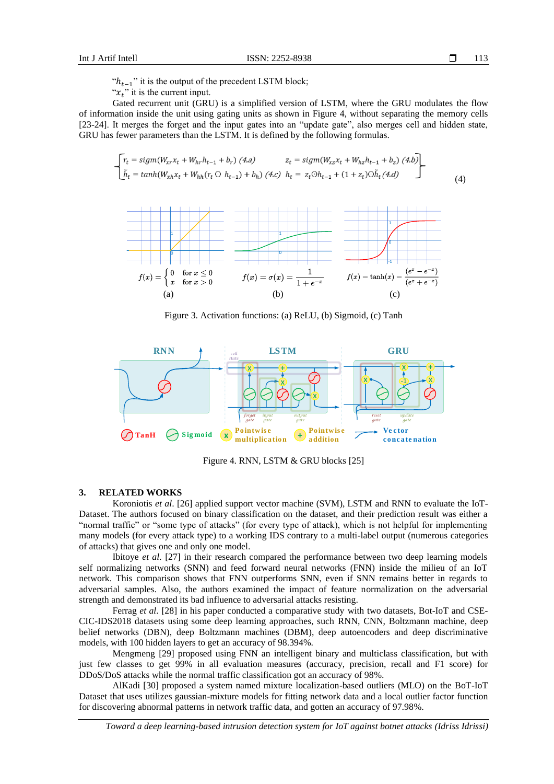$\Box$ 113

" $h_{t-1}$ " it is the output of the precedent LSTM block;

" $x_t$ " it is the current input.

Gated recurrent unit (GRU) is a simplified version of LSTM, where the GRU modulates the flow of information inside the unit using gating units as shown in Figure 4, without separating the memory cells [23-24]. It merges the forget and the input gates into an "update gate", also merges cell and hidden state, GRU has fewer parameters than the LSTM. It is defined by the following formulas.

$$
\begin{bmatrix}\nr_t = sign(W_{xx}x_t + W_{hr}h_{t-1} + b_r) & (4.a) & z_t = sign(W_{xz}x_t + W_{hz}h_{t-1} + b_z) & (4.b) \\
\tilde{h}_t = tanh(W_{xh}x_t + W_{hh}(r_t \odot h_{t-1}) + b_h) & (4.c) & h_t = z_t \odot h_{t-1} + (1 + z_t) \odot \tilde{h}_t & (4.)\n\end{bmatrix}
$$
\n(4)



Figure 3. Activation functions: (a) ReLU, (b) Sigmoid, (c) Tanh



Figure 4. RNN, LSTM & GRU blocks [25]

#### **3. RELATED WORKS**

Koroniotis *et al*. [26] applied support vector machine (SVM), LSTM and RNN to evaluate the IoT-Dataset. The authors focused on binary classification on the dataset, and their prediction result was either a "normal traffic" or "some type of attacks" (for every type of attack), which is not helpful for implementing many models (for every attack type) to a working IDS contrary to a multi-label output (numerous categories of attacks) that gives one and only one model.

Ibitoye *et al*. [27] in their research compared the performance between two deep learning models self normalizing networks (SNN) and feed forward neural networks (FNN) inside the milieu of an IoT network. This comparison shows that FNN outperforms SNN, even if SNN remains better in regards to adversarial samples. Also, the authors examined the impact of feature normalization on the adversarial strength and demonstrated its bad influence to adversarial attacks resisting.

Ferrag *et al*. [28] in his paper conducted a comparative study with two datasets, Bot-IoT and CSE-CIC-IDS2018 datasets using some deep learning approaches, such RNN, CNN, Boltzmann machine, deep belief networks (DBN), deep Boltzmann machines (DBM), deep autoencoders and deep discriminative models, with 100 hidden layers to get an accuracy of 98.394%.

Mengmeng [29] proposed using FNN an intelligent binary and multiclass classification, but with just few classes to get 99% in all evaluation measures (accuracy, precision, recall and F1 score) for DDoS/DoS attacks while the normal traffic classification got an accuracy of 98%.

AlKadi [30] proposed a system named mixture localization-based outliers (MLO) on the BoT-IoT Dataset that uses utilizes gaussian-mixture models for fitting network data and a local outlier factor function for discovering abnormal patterns in network traffic data, and gotten an accuracy of 97.98%.

*Toward a deep learning-based intrusion detection system for IoT against botnet attacks (Idriss Idrissi)*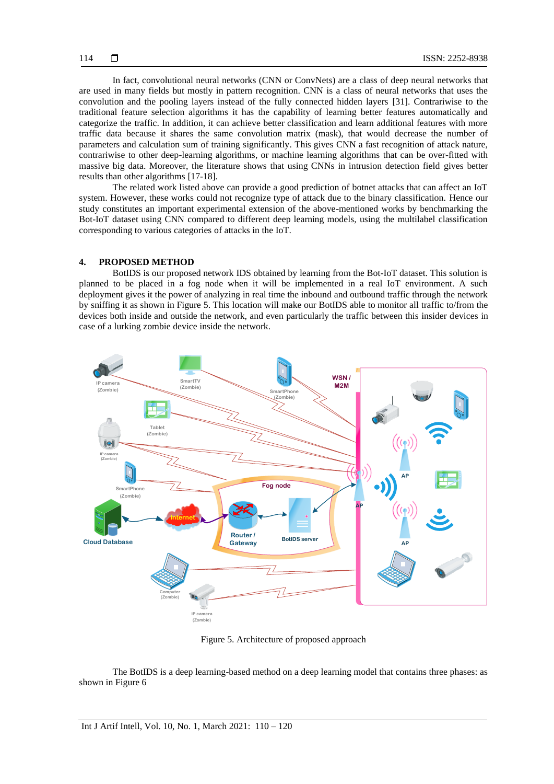In fact, convolutional neural networks (CNN or ConvNets) are a class of deep neural networks that are used in many fields but mostly in pattern recognition. CNN is a class of neural networks that uses the convolution and the pooling layers instead of the fully connected hidden layers [31]. Contrariwise to the traditional feature selection algorithms it has the capability of learning better features automatically and categorize the traffic. In addition, it can achieve better classification and learn additional features with more traffic data because it shares the same convolution matrix (mask), that would decrease the number of parameters and calculation sum of training significantly. This gives CNN a fast recognition of attack nature, contrariwise to other deep-learning algorithms, or machine learning algorithms that can be over-fitted with massive big data. Moreover, the literature shows that using CNNs in intrusion detection field gives better results than other algorithms [17-18].

The related work listed above can provide a good prediction of botnet attacks that can affect an IoT system. However, these works could not recognize type of attack due to the binary classification. Hence our study constitutes an important experimental extension of the above-mentioned works by benchmarking the Bot-IoT dataset using CNN compared to different deep learning models, using the multilabel classification corresponding to various categories of attacks in the IoT.

#### **4. PROPOSED METHOD**

BotIDS is our proposed network IDS obtained by learning from the Bot-IoT dataset. This solution is planned to be placed in a fog node when it will be implemented in a real IoT environment. A such deployment gives it the power of analyzing in real time the inbound and outbound traffic through the network by sniffing it as shown in Figure 5. This location will make our BotIDS able to monitor all traffic to/from the devices both inside and outside the network, and even particularly the traffic between this insider devices in case of a lurking zombie device inside the network.



Figure 5. Architecture of proposed approach

The BotIDS is a deep learning-based method on a deep learning model that contains three phases: as shown in Figure 6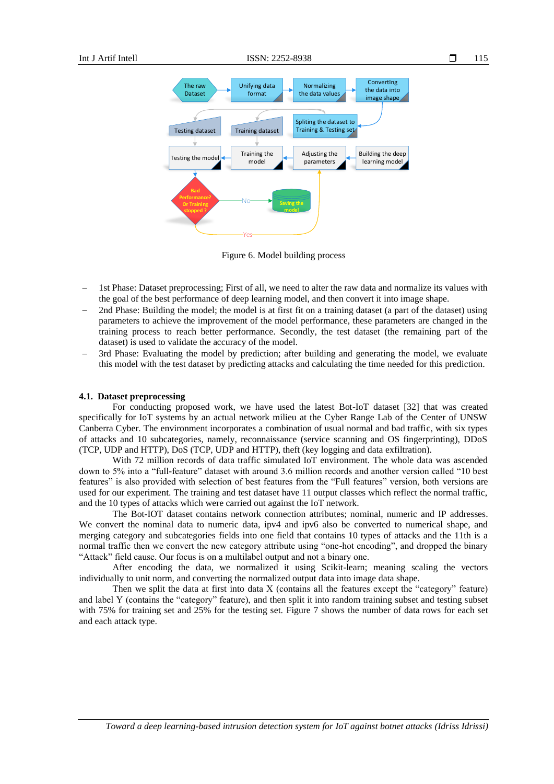

Figure 6. Model building process

- 1st Phase: Dataset preprocessing; First of all, we need to alter the raw data and normalize its values with the goal of the best performance of deep learning model, and then convert it into image shape.
- 2nd Phase: Building the model; the model is at first fit on a training dataset (a part of the dataset) using parameters to achieve the improvement of the model performance, these parameters are changed in the training process to reach better performance. Secondly, the test dataset (the remaining part of the dataset) is used to validate the accuracy of the model.
- 3rd Phase: Evaluating the model by prediction; after building and generating the model, we evaluate this model with the test dataset by predicting attacks and calculating the time needed for this prediction.

#### **4.1. Dataset preprocessing**

For conducting proposed work, we have used the latest Bot-IoT dataset [32] that was created specifically for IoT systems by an actual network milieu at the Cyber Range Lab of the Center of UNSW Canberra Cyber. The environment incorporates a combination of usual normal and bad traffic, with six types of attacks and 10 subcategories, namely, reconnaissance (service scanning and OS fingerprinting), DDoS (TCP, UDP and HTTP), DoS (TCP, UDP and HTTP), theft (key logging and data exfiltration).

With 72 million records of data traffic simulated IoT environment. The whole data was ascended down to 5% into a "full-feature" dataset with around 3.6 million records and another version called "10 best features" is also provided with selection of best features from the "Full features" version, both versions are used for our experiment. The training and test dataset have 11 output classes which reflect the normal traffic, and the 10 types of attacks which were carried out against the IoT network.

The Bot-IOT dataset contains network connection attributes; nominal, numeric and IP addresses. We convert the nominal data to numeric data, ipv4 and ipv6 also be converted to numerical shape, and merging category and subcategories fields into one field that contains 10 types of attacks and the 11th is a normal traffic then we convert the new category attribute using "one-hot encoding", and dropped the binary "Attack" field cause. Our focus is on a multilabel output and not a binary one.

After encoding the data, we normalized it using Scikit-learn; meaning scaling the vectors individually to unit norm, and converting the normalized output data into image data shape.

Then we split the data at first into data X (contains all the features except the "category" feature) and label Y (contains the "category" feature), and then split it into random training subset and testing subset with 75% for training set and 25% for the testing set. Figure 7 shows the number of data rows for each set and each attack type.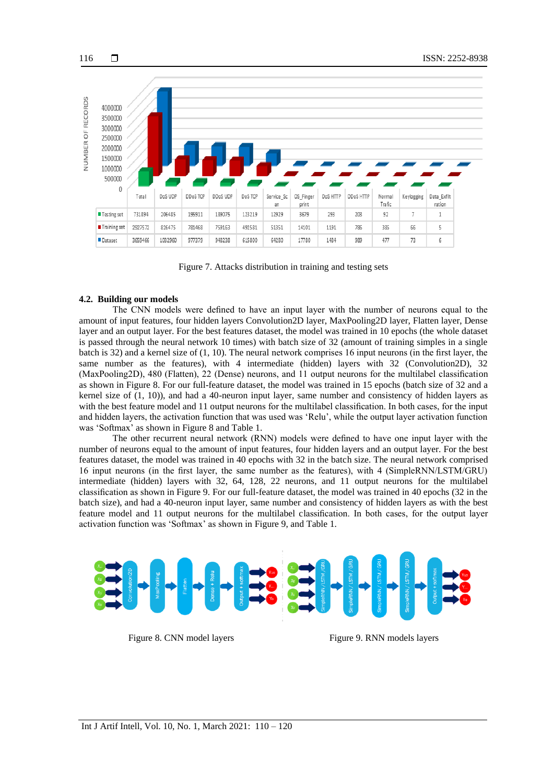

Figure 7. Attacks distribution in training and testing sets

#### **4.2. Building our models**

116

The CNN models were defined to have an input layer with the number of neurons equal to the amount of input features, four hidden layers Convolution2D layer, MaxPooling2D layer, Flatten layer, Dense layer and an output layer. For the best features dataset, the model was trained in 10 epochs (the whole dataset is passed through the neural network 10 times) with batch size of 32 (amount of training simples in a single batch is 32) and a kernel size of (1, 10). The neural network comprises 16 input neurons (in the first layer, the same number as the features), with 4 intermediate (hidden) layers with 32 (Convolution2D), 32 (MaxPooling2D), 480 (Flatten), 22 (Dense) neurons, and 11 output neurons for the multilabel classification as shown in Figure 8. For our full-feature dataset, the model was trained in 15 epochs (batch size of 32 and a kernel size of (1, 10)), and had a 40-neuron input layer, same number and consistency of hidden layers as with the best feature model and 11 output neurons for the multilabel classification. In both cases, for the input and hidden layers, the activation function that was used was 'Relu', while the output layer activation function was 'Softmax' as shown in Figure 8 and Table 1.

The other recurrent neural network (RNN) models were defined to have one input layer with the number of neurons equal to the amount of input features, four hidden layers and an output layer. For the best features dataset, the model was trained in 40 epochs with 32 in the batch size. The neural network comprised 16 input neurons (in the first layer, the same number as the features), with 4 (SimpleRNN/LSTM/GRU) intermediate (hidden) layers with 32, 64, 128, 22 neurons, and 11 output neurons for the multilabel classification as shown in Figure 9. For our full-feature dataset, the model was trained in 40 epochs (32 in the batch size), and had a 40-neuron input layer, same number and consistency of hidden layers as with the best feature model and 11 output neurons for the multilabel classification. In both cases, for the output layer activation function was 'Softmax' as shown in Figure 9, and Table 1.



Figure 8. CNN model layers Figure 9. RNN models layers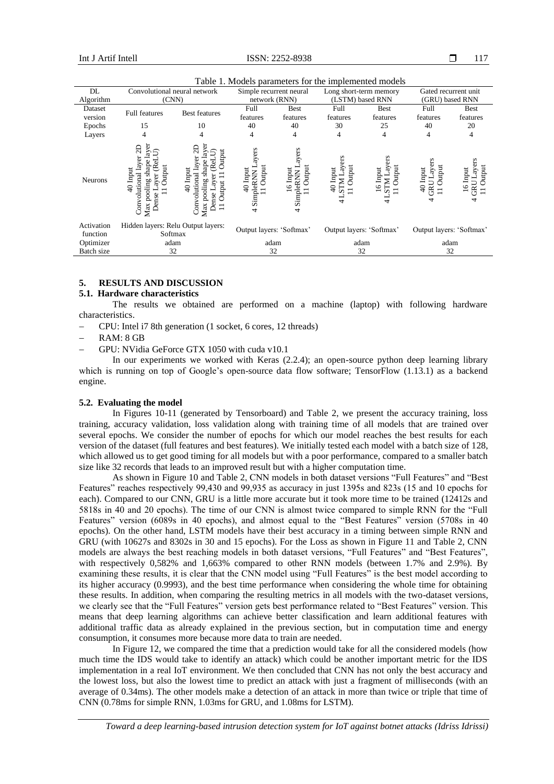| DL                     | Convolutional neural network                                                                   |                                                                                                    | Simple recurrent neural                     |                                          | Long short-term memory                                 |                                                         | Gated recurrent unit                                |                      |
|------------------------|------------------------------------------------------------------------------------------------|----------------------------------------------------------------------------------------------------|---------------------------------------------|------------------------------------------|--------------------------------------------------------|---------------------------------------------------------|-----------------------------------------------------|----------------------|
| Algorithm              | (CNN)                                                                                          |                                                                                                    | network (RNN)                               |                                          | (LSTM) based RNN                                       |                                                         | (GRU) based RNN                                     |                      |
| Dataset                | <b>Full features</b>                                                                           | <b>Best features</b>                                                                               | Full                                        | Best                                     | Full                                                   | <b>Best</b>                                             | Full                                                | <b>Best</b>          |
| version                |                                                                                                |                                                                                                    | features                                    | features                                 | features                                               | features                                                | features                                            | features             |
| Epochs                 | 15                                                                                             | 10                                                                                                 | 40                                          | 40                                       | 30                                                     | 25                                                      | 40                                                  | 20                   |
| Layers                 | 4                                                                                              |                                                                                                    | 4                                           | 4                                        | 4                                                      | 4                                                       | 4                                                   | 4                    |
| <b>Neurons</b>         | ayer<br>g<br>5<br>shap<br>Jutput<br>$40$ Input<br>Convolutional<br>ă<br>pooling<br>ense<br>Max | H<br>utput<br>lay<br>ੜਿ<br>Input<br>£<br>Convolutional<br>pooling<br>utpui<br>ី<br>=<br>nse<br>Max | ers<br>Output<br>40 Input<br>SimpleRNN<br>4 | ers<br>Output<br>lnput<br>SimpleRNN<br>4 | rs<br>ನ<br>Output<br>Input<br>$\overline{4}$<br>s<br>4 | ay<br>Output<br>Input<br>Z<br>$\overline{6}$<br>τΩ<br>↔ | ers<br>Output<br>ξś<br>Input<br>$\frac{1}{4}$<br>දි | Uutput<br>Input<br>G |
| Activation<br>function | Hidden layers: Relu Output layers:<br>Softmax                                                  |                                                                                                    | Output layers: 'Softmax'                    |                                          | Output layers: 'Softmax'                               |                                                         | Output layers: 'Softmax'                            |                      |
| Optimizer              | adam                                                                                           |                                                                                                    | adam                                        |                                          | adam                                                   |                                                         | adam                                                |                      |
| Batch size             | 32                                                                                             |                                                                                                    | 32                                          |                                          | 32                                                     |                                                         | 32                                                  |                      |

Table 1. Models parameters for the implemented models

# **5. RESULTS AND DISCUSSION**

#### **5.1. Hardware characteristics**

The results we obtained are performed on a machine (laptop) with following hardware characteristics.

− CPU: Intel i7 8th generation (1 socket, 6 cores, 12 threads)

− RAM: 8 GB

− GPU: NVidia GeForce GTX 1050 with cuda v10.1

In our experiments we worked with Keras (2.2.4); an open-source python deep learning library which is running on top of Google's open-source data flow software; TensorFlow (1.13.1) as a backend engine.

# **5.2. Evaluating the model**

In Figures 10-11 (generated by Tensorboard) and [Table 2,](#page-8-0) we present the accuracy training, loss training, accuracy validation, loss validation along with training time of all models that are trained over several epochs. We consider the number of epochs for which our model reaches the best results for each version of the dataset (full features and best features). We initially tested each model with a batch size of 128, which allowed us to get good timing for all models but with a poor performance, compared to a smaller batch size like 32 records that leads to an improved result but with a higher computation time.

As shown in Figure 10 an[d Table 2,](#page-8-0) CNN models in both dataset versions "Full Features" and "Best Features" reaches respectively 99,430 and 99,935 as accuracy in just 1395s and 823s (15 and 10 epochs for each). Compared to our CNN, GRU is a little more accurate but it took more time to be trained (12412s and 5818s in 40 and 20 epochs). The time of our CNN is almost twice compared to simple RNN for the "Full Features" version (6089s in 40 epochs), and almost equal to the "Best Features" version (5708s in 40 epochs). On the other hand, LSTM models have their best accuracy in a timing between simple RNN and GRU (with 10627s and 8302s in 30 and 15 epochs). For the Loss as shown in Figure 11 and Table 2, CNN models are always the best reaching models in both dataset versions, "Full Features" and "Best Features", with respectively 0,582% and 1,663% compared to other RNN models (between 1.7% and 2.9%). By examining these results, it is clear that the CNN model using "Full Features" is the best model according to its higher accuracy (0.9993), and the best time performance when considering the whole time for obtaining these results. In addition, when comparing the resulting metrics in all models with the two-dataset versions, we clearly see that the "Full Features" version gets best performance related to "Best Features" version. This means that deep learning algorithms can achieve better classification and learn additional features with additional traffic data as already explained in the previous section, but in computation time and energy consumption, it consumes more because more data to train are needed.

In Figure 12, we compared the time that a prediction would take for all the considered models (how much time the IDS would take to identify an attack) which could be another important metric for the IDS implementation in a real IoT environment. We then concluded that CNN has not only the best accuracy and the lowest loss, but also the lowest time to predict an attack with just a fragment of milliseconds (with an average of 0.34ms). The other models make a detection of an attack in more than twice or triple that time of CNN (0.78ms for simple RNN, 1.03ms for GRU, and 1.08ms for LSTM).

*Toward a deep learning-based intrusion detection system for IoT against botnet attacks (Idriss Idrissi)*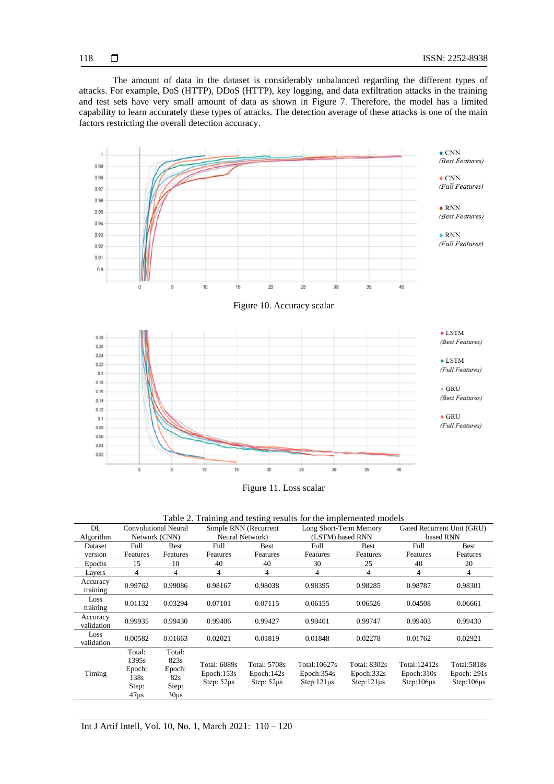The amount of data in the dataset is considerably unbalanced regarding the different types of attacks. For example, DoS (HTTP), DDoS (HTTP), key logging, and data exfiltration attacks in the training and test sets have very small amount of data as shown in Figure 7. Therefore, the model has a limited capability to learn accurately these types of attacks. The detection average of these attacks is one of the main factors restricting the overall detection accuracy.



Figure 11. Loss scalar

|  |  |  |  | Table 2. Training and testing results for the implemented models |  |
|--|--|--|--|------------------------------------------------------------------|--|
|  |  |  |  |                                                                  |  |

<span id="page-8-0"></span>

| DL                     | <b>Convolutional Neural</b>                                    |                                                             | Simple RNN (Recurrent                         |                                               | Long Short-Term Memory                          |                                                 | Gated Recurrent Unit (GRU)                     |                                                 |
|------------------------|----------------------------------------------------------------|-------------------------------------------------------------|-----------------------------------------------|-----------------------------------------------|-------------------------------------------------|-------------------------------------------------|------------------------------------------------|-------------------------------------------------|
| Algorithm              | Network (CNN)                                                  |                                                             | Neural Network)                               |                                               | (LSTM) based RNN                                |                                                 | based RNN                                      |                                                 |
| Dataset                | Full                                                           | <b>Best</b>                                                 | Full                                          | <b>Best</b>                                   | Full                                            | Best                                            | Full                                           | Best                                            |
| version                | Features                                                       | Features                                                    | Features                                      | Features                                      | Features                                        | Features                                        | Features                                       | Features                                        |
| Epochs                 | 15                                                             | 10                                                          | 40                                            | 40                                            | 30                                              | 25                                              | 40                                             | 20                                              |
| Layers                 | 4                                                              | $\overline{4}$                                              | 4                                             | 4                                             | $\overline{4}$                                  | $\overline{4}$                                  | 4                                              | 4                                               |
| Accuracy<br>training   | 0.99762                                                        | 0.99086                                                     | 0.98167                                       | 0.98038                                       | 0.98395                                         | 0.98285                                         | 0.98787                                        | 0.98301                                         |
| Loss<br>training       | 0.01132                                                        | 0.03294                                                     | 0.07101                                       | 0.07115                                       | 0.06155                                         | 0.06526                                         | 0.04508                                        | 0.06661                                         |
| Accuracy<br>validation | 0.99935                                                        | 0.99430                                                     | 0.99406                                       | 0.99427                                       | 0.99401                                         | 0.99747                                         | 0.99403                                        | 0.99430                                         |
| Loss<br>validation     | 0.00582                                                        | 0.01663                                                     | 0.02021                                       | 0.01819                                       | 0.01848                                         | 0.02278                                         | 0.01762                                        | 0.02921                                         |
| Timing                 | Total:<br>1395s<br>Epoch:<br>138s<br>Step:<br>47 <sub>µs</sub> | Total:<br>823s<br>Epoch:<br>82s<br>Step:<br>30 <sub>µ</sub> | Total: 6089s<br>Epoch:153s<br>Step: $52\mu s$ | Total: 5708s<br>Epoch:142s<br>Step: $52\mu s$ | Total:10627s<br>Epoch:354s<br>$Step:121\,\mu s$ | Total: 8302s<br>Epoch:332s<br>$Step:121\,\mu s$ | Total: 12412s<br>Epoch:310s<br>$Step:106\mu s$ | Total:5818s<br>Epoch: $291s$<br>$Step:106\mu s$ |

118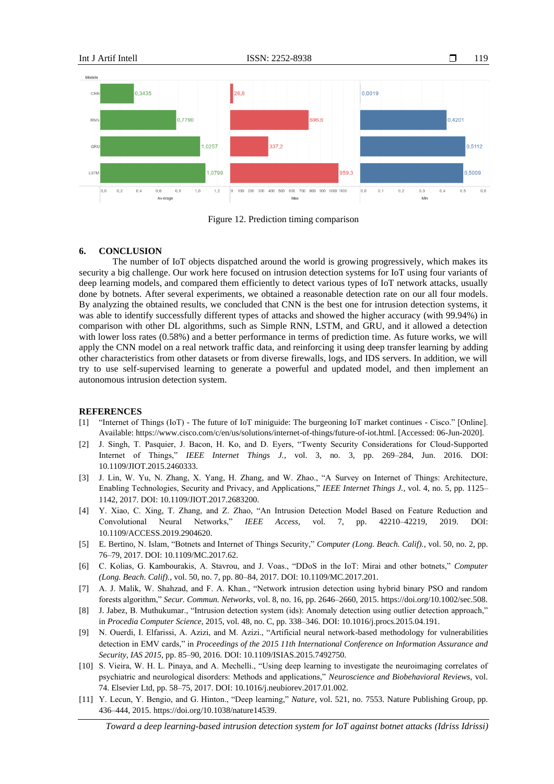

Figure 12. Prediction timing comparison

# **6. CONCLUSION**

The number of IoT objects dispatched around the world is growing progressively, which makes its security a big challenge. Our work here focused on intrusion detection systems for IoT using four variants of deep learning models, and compared them efficiently to detect various types of IoT network attacks, usually done by botnets. After several experiments, we obtained a reasonable detection rate on our all four models. By analyzing the obtained results, we concluded that CNN is the best one for intrusion detection systems, it was able to identify successfully different types of attacks and showed the higher accuracy (with 99.94%) in comparison with other DL algorithms, such as Simple RNN, LSTM, and GRU, and it allowed a detection with lower loss rates (0.58%) and a better performance in terms of prediction time. As future works, we will apply the CNN model on a real network traffic data, and reinforcing it using deep transfer learning by adding other characteristics from other datasets or from diverse firewalls, logs, and IDS servers. In addition, we will try to use self-supervised learning to generate a powerful and updated model, and then implement an autonomous intrusion detection system.

#### **REFERENCES**

- [1] "Internet of Things (IoT) The future of IoT miniguide: The burgeoning IoT market continues Cisco." [Online]. Available: https://www.cisco.com/c/en/us/solutions/internet-of-things/future-of-iot.html. [Accessed: 06-Jun-2020].
- [2] J. Singh, T. Pasquier, J. Bacon, H. Ko, and D. Eyers, "Twenty Security Considerations for Cloud-Supported Internet of Things," *IEEE Internet Things J.*, vol. 3, no. 3, pp. 269–284, Jun. 2016. DOI: 10.1109/JIOT.2015.2460333.
- [3] J. Lin, W. Yu, N. Zhang, X. Yang, H. Zhang, and W. Zhao., "A Survey on Internet of Things: Architecture, Enabling Technologies, Security and Privacy, and Applications," *IEEE Internet Things J.*, vol. 4, no. 5, pp. 1125– 1142, 2017. DOI: 10.1109/JIOT.2017.2683200.
- [4] Y. Xiao, C. Xing, T. Zhang, and Z. Zhao, "An Intrusion Detection Model Based on Feature Reduction and Convolutional Neural Networks," *IEEE Access*, vol. 7, pp. 42210–42219, 2019. DOI: 10.1109/ACCESS.2019.2904620.
- [5] E. Bertino, N. Islam, "Botnets and Internet of Things Security," *Computer (Long. Beach. Calif).*, vol. 50, no. 2, pp. 76–79, 2017. DOI: 10.1109/MC.2017.62.
- [6] C. Kolias, G. Kambourakis, A. Stavrou, and J. Voas., "DDoS in the IoT: Mirai and other botnets," *Computer (Long. Beach. Calif).*, vol. 50, no. 7, pp. 80–84, 2017. DOI: 10.1109/MC.2017.201.
- [7] A. J. Malik, W. Shahzad, and F. A. Khan., "Network intrusion detection using hybrid binary PSO and random forests algorithm," *Secur. Commun. Networks*, vol. 8, no. 16, pp. 2646–2660, 2015. https://doi.org/10.1002/sec.508.
- [8] J. Jabez, B. Muthukumar., "Intrusion detection system (ids): Anomaly detection using outlier detection approach," in *Procedia Computer Science*, 2015, vol. 48, no. C, pp. 338–346. DOI: 10.1016/j.procs.2015.04.191.
- [9] N. Ouerdi, I. Elfarissi, A. Azizi, and M. Azizi., "Artificial neural network-based methodology for vulnerabilities detection in EMV cards," in *Proceedings of the 2015 11th International Conference on Information Assurance and Security, IAS 2015*, pp. 85–90, 2016. DOI: 10.1109/ISIAS.2015.7492750.
- [10] S. Vieira, W. H. L. Pinaya, and A. Mechelli., "Using deep learning to investigate the neuroimaging correlates of psychiatric and neurological disorders: Methods and applications," *Neuroscience and Biobehavioral Reviews*, vol. 74. Elsevier Ltd, pp. 58–75, 2017. DOI: 10.1016/j.neubiorev.2017.01.002.
- [11] Y. Lecun, Y. Bengio, and G. Hinton., "Deep learning," *Nature*, vol. 521, no. 7553. Nature Publishing Group, pp. 436–444, 2015. https://doi.org/10.1038/nature14539.

*Toward a deep learning-based intrusion detection system for IoT against botnet attacks (Idriss Idrissi)*